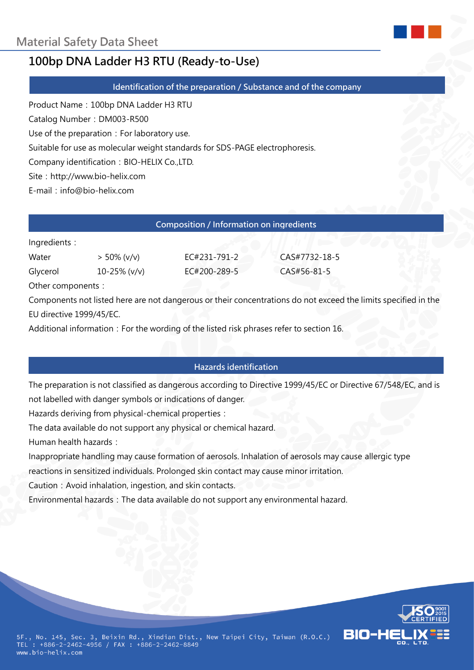

# **100bp DNA Ladder H3 RTU (Ready-to-Use)**

**Identification of the preparation / Substance and of the company**

Product Name:100bp DNA Ladder H3 RTU

Catalog Number: DM003-R500

Use of the preparation: For laboratory use.

Suitable for use as molecular weight standards for SDS-PAGE electrophoresis.

Company identification: BIO-HELIX Co.,LTD.

Site: http://www.bio-helix.com

E-mail: info@bio-helix.com

| Composition / Information on ingredients |                |              |               |  |
|------------------------------------------|----------------|--------------|---------------|--|
| Ingredients:                             |                |              |               |  |
| Water                                    | $> 50\%$ (v/v) | EC#231-791-2 | CAS#7732-18-5 |  |
| Glycerol                                 | 10-25% (v/v)   | EC#200-289-5 | CAS#56-81-5   |  |
| $O$ ther components $\cdot$              |                |              |               |  |

ther components

Components not listed here are not dangerous or their concentrations do not exceed the limits specified in the EU directive 1999/45/EC.

Additional information: For the wording of the listed risk phrases refer to section 16.

# **Hazards identification**

The preparation is not classified as dangerous according to Directive 1999/45/EC or Directive 67/548/EC, and is not labelled with danger symbols or indications of danger.

Hazards deriving from physical-chemical properties:

The data available do not support any physical or chemical hazard.

Human health hazards:

Inappropriate handling may cause formation of aerosols. Inhalation of aerosols may cause allergic type

reactions in sensitized individuals. Prolonged skin contact may cause minor irritation.

Caution: Avoid inhalation, ingestion, and skin contacts.

Environmental hazards: The data available do not support any environmental hazard.

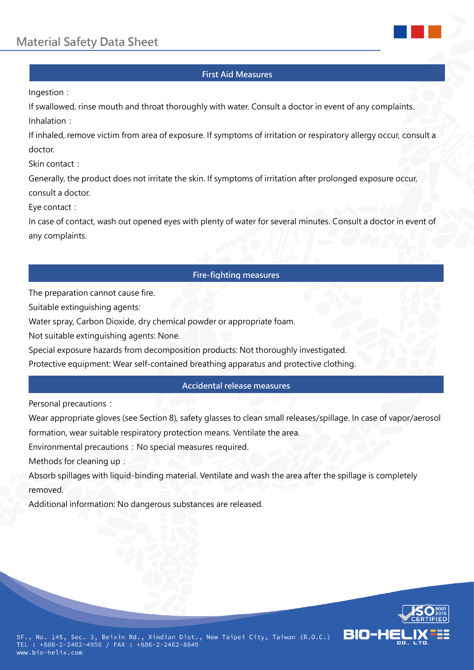

## **First Aid Measures**

Ingestion:

If swallowed, rinse mouth and throat thoroughly with water. Consult a doctor in event of any complaints. Inhalation:

If inhaled, remove victim from area of exposure. If symptoms of irritation or respiratory allergy occur, consult a doctor.

Skin contact:

Generally, the product does not irritate the skin. If symptoms of irritation after prolonged exposure occur, consult a doctor.

Eve contact:

In case of contact, wash out opened eyes with plenty of water for several minutes. Consult a doctor in event of any complaints.

# **Fire-fighting measures**

The preparation cannot cause fire.

Suitable extinguishing agents:

Water spray, Carbon Dioxide, dry chemical powder or appropriate foam.

Not suitable extinguishing agents: None.

Special exposure hazards from decomposition products: Not thoroughly investigated.

Protective equipment: Wear self-contained breathing apparatus and protective clothing.

## **Accidental release measures**

Personal precautions:

Wear appropriate gloves (see Section 8), safety glasses to clean small releases/spillage. In case of vapor/aerosol formation, wear suitable respiratory protection means. Ventilate the area.

Environmental precautions: No special measures required.

Methods for cleaning up:

Absorb spillages with liquid-binding material. Ventilate and wash the area after the spillage is completely removed.

Additional information: No dangerous substances are released.

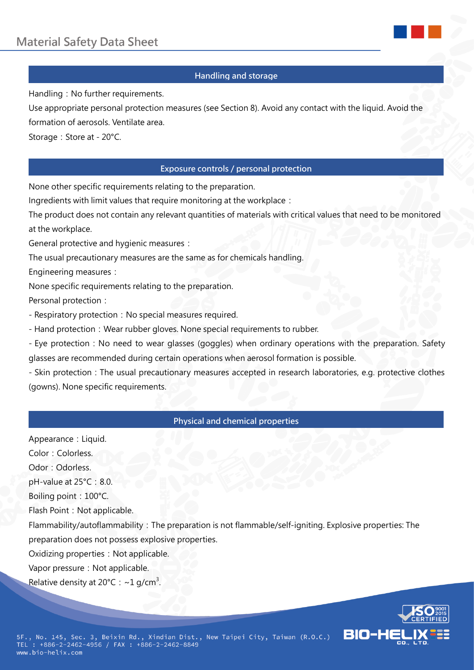

# **Handling and storage**

Handling: No further requirements.

Use appropriate personal protection measures (see Section 8). Avoid any contact with the liquid. Avoid the formation of aerosols. Ventilate area.

Storage: Store at - 20°C.

# **Exposure controls / personal protection**

None other specific requirements relating to the preparation.

Ingredients with limit values that require monitoring at the workplace:

The product does not contain any relevant quantities of materials with critical values that need to be monitored at the workplace.

General protective and hygienic measures:

The usual precautionary measures are the same as for chemicals handling.

Engineering measures:

None specific requirements relating to the preparation.

Personal protection:

- Respiratory protection: No special measures required.

- Hand protection: Wear rubber gloves. None special requirements to rubber.

- Eye protection: No need to wear glasses (goggles) when ordinary operations with the preparation. Safety glasses are recommended during certain operations when aerosol formation is possible.

- Skin protection: The usual precautionary measures accepted in research laboratories, e.g. protective clothes (gowns). None specific requirements.

## **Physical and chemical properties**

Appearance: Liquid. Color:Colorless. Odor: Odorless.  $pH$ -value at 25 $°C$ : 8.0. Boiling point: 100°C. Flash Point: Not applicable. Flammability/autoflammability:The preparation is not flammable/self-igniting. Explosive properties: The preparation does not possess explosive properties. Oxidizing properties: Not applicable. Vapor pressure: Not applicable. Relative density at 20°C :  $\sim$ 1 g/cm<sup>3</sup>.

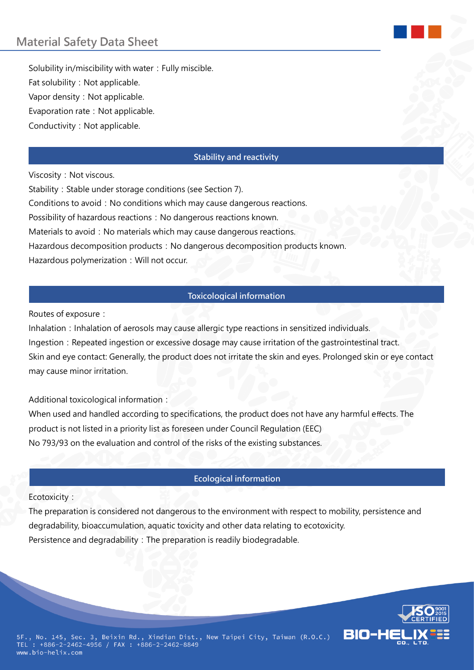Solubility in/miscibility with water: Fully miscible. Fat solubility: Not applicable. Vapor density: Not applicable. Evaporation rate: Not applicable. Conductivity: Not applicable.

#### **Stability and reactivity**

Viscosity: Not viscous.

Stability: Stable under storage conditions (see Section 7). Conditions to avoid: No conditions which may cause dangerous reactions. Possibility of hazardous reactions: No dangerous reactions known. Materials to avoid: No materials which may cause dangerous reactions. Hazardous decomposition products: No dangerous decomposition products known. Hazardous polymerization: Will not occur.

# **Toxicological information**

Routes of exposure:

Inhalation: Inhalation of aerosols may cause allergic type reactions in sensitized individuals. Ingestion: Repeated ingestion or excessive dosage may cause irritation of the gastrointestinal tract. Skin and eye contact: Generally, the product does not irritate the skin and eyes. Prolonged skin or eye contact may cause minor irritation.

Additional toxicological information:

When used and handled according to specifications, the product does not have any harmful effects. The product is not listed in a priority list as foreseen under Council Regulation (EEC) No 793/93 on the evaluation and control of the risks of the existing substances.

## **Ecological information**

Ecotoxicity:

The preparation is considered not dangerous to the environment with respect to mobility, persistence and degradability, bioaccumulation, aquatic toxicity and other data relating to ecotoxicity. Persistence and degradability: The preparation is readily biodegradable.